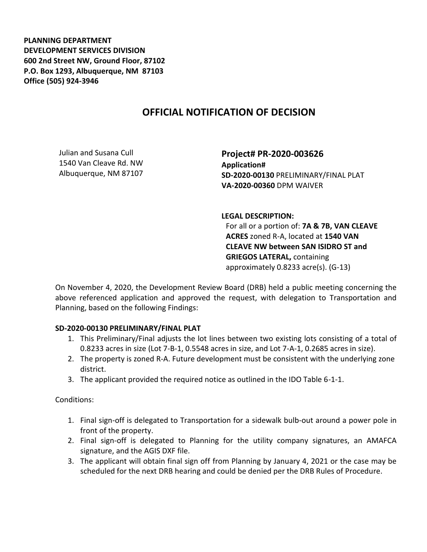**PLANNING DEPARTMENT DEVELOPMENT SERVICES DIVISION 600 2nd Street NW, Ground Floor, 87102 P.O. Box 1293, Albuquerque, NM 87103 Office (505) 924-3946** 

## **OFFICIAL NOTIFICATION OF DECISION**

Julian and Susana Cull 1540 Van Cleave Rd. NW Albuquerque, NM 87107

**Project# PR-2020-003626 Application# SD-2020-00130** PRELIMINARY/FINAL PLAT **VA-2020-00360** DPM WAIVER

**LEGAL DESCRIPTION:**

For all or a portion of: **7A & 7B, VAN CLEAVE ACRES** zoned R-A, located at **1540 VAN CLEAVE NW between SAN ISIDRO ST and GRIEGOS LATERAL,** containing approximately 0.8233 acre(s). (G-13)

On November 4, 2020, the Development Review Board (DRB) held a public meeting concerning the above referenced application and approved the request, with delegation to Transportation and Planning, based on the following Findings:

## **SD-2020-00130 PRELIMINARY/FINAL PLAT**

- 1. This Preliminary/Final adjusts the lot lines between two existing lots consisting of a total of 0.8233 acres in size (Lot 7-B-1, 0.5548 acres in size, and Lot 7-A-1, 0.2685 acres in size).
- 2. The property is zoned R-A. Future development must be consistent with the underlying zone district.
- 3. The applicant provided the required notice as outlined in the IDO Table 6-1-1.

Conditions:

- 1. Final sign-off is delegated to Transportation for a sidewalk bulb-out around a power pole in front of the property.
- 2. Final sign-off is delegated to Planning for the utility company signatures, an AMAFCA signature, and the AGIS DXF file.
- 3. The applicant will obtain final sign off from Planning by January 4, 2021 or the case may be scheduled for the next DRB hearing and could be denied per the DRB Rules of Procedure.